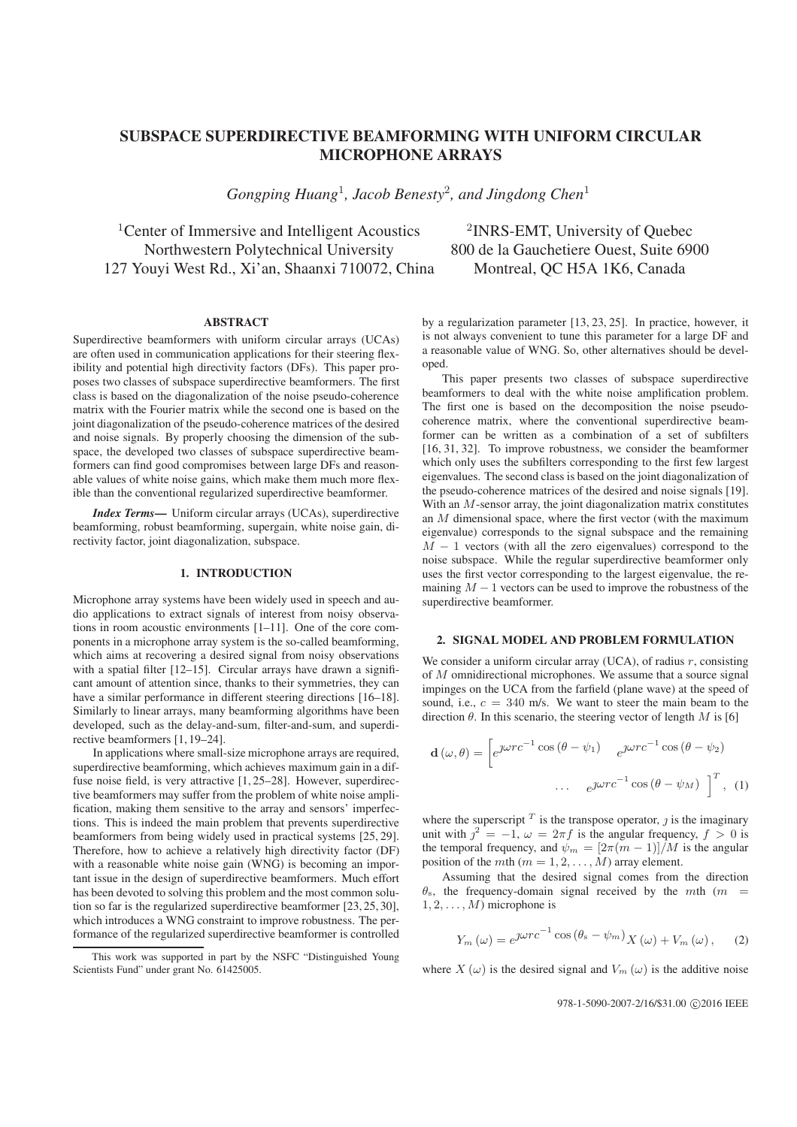# SUBSPACE SUPERDIRECTIVE BEAMFORMING WITH UNIFORM CIRCULAR MICROPHONE ARRAYS

*Gongping Huang*<sup>1</sup>*, Jacob Benesty*<sup>2</sup>*, and Jingdong Chen*<sup>1</sup>

<sup>1</sup>Center of Immersive and Intelligent Acoustics <sup>2</sup>INRS-EMT, University of Quebec Northwestern Polytechnical University 800 de la Gauchetiere Ouest, Suite 6900 127 Youyi West Rd., Xi'an, Shaanxi 710072, China Montreal, QC H5A 1K6, Canada

#### **ABSTRACT**

Superdirective beamformers with uniform circular arrays (UCAs) are often used in communication applications for their steering flexibility and potential high directivity factors (DFs). This paper proposes two classes of subspace superdirective beamformers. The first class is based on the diagonalization of the noise pseudo-coherence matrix with the Fourier matrix while the second one is based on the joint diagonalization of the pseudo-coherence matrices of the desired and noise signals. By properly choosing the dimension of the subspace, the developed two classes of subspace superdirective beamformers can find good compromises between large DFs and reasonable values of white noise gains, which make them much more flexible than the conventional regularized superdirective beamformer.

*Index Terms*— Uniform circular arrays (UCAs), superdirective beamforming, robust beamforming, supergain, white noise gain, directivity factor, joint diagonalization, subspace.

#### 1. INTRODUCTION

Microphone array systems have been widely used in speech and audio applications to extract signals of interest from noisy observations in room acoustic environments [1–11]. One of the core components in a microphone array system is the so-called beamforming, which aims at recovering a desired signal from noisy observations with a spatial filter [12–15]. Circular arrays have drawn a significant amount of attention since, thanks to their symmetries, they can have a similar performance in different steering directions [16–18]. Similarly to linear arrays, many beamforming algorithms have been developed, such as the delay-and-sum, filter-and-sum, and superdirective beamformers [1, 19–24].

In applications where small-size microphone arrays are required, superdirective beamforming, which achieves maximum gain in a diffuse noise field, is very attractive [1, 25–28]. However, superdirective beamformers may suffer from the problem of white noise amplification, making them sensitive to the array and sensors' imperfections. This is indeed the main problem that prevents superdirective beamformers from being widely used in practical systems [25, 29]. Therefore, how to achieve a relatively high directivity factor (DF) with a reasonable white noise gain (WNG) is becoming an important issue in the design of superdirective beamformers. Much effort has been devoted to solving this problem and the most common solution so far is the regularized superdirective beamformer [23, 25, 30], which introduces a WNG constraint to improve robustness. The performance of the regularized superdirective beamformer is controlled

by a regularization parameter [13, 23, 25]. In practice, however, it is not always convenient to tune this parameter for a large DF and a reasonable value of WNG. So, other alternatives should be developed.

This paper presents two classes of subspace superdirective beamformers to deal with the white noise amplification problem. The first one is based on the decomposition the noise pseudocoherence matrix, where the conventional superdirective beamformer can be written as a combination of a set of subfilters [16, 31, 32]. To improve robustness, we consider the beamformer which only uses the subfilters corresponding to the first few largest eigenvalues. The second class is based on the joint diagonalization of the pseudo-coherence matrices of the desired and noise signals [19]. With an  $M$ -sensor array, the joint diagonalization matrix constitutes an  $M$  dimensional space, where the first vector (with the maximum eigenvalue) corresponds to the signal subspace and the remaining  $M - 1$  vectors (with all the zero eigenvalues) correspond to the noise subspace. While the regular superdirective beamformer only uses the first vector corresponding to the largest eigenvalue, the remaining  $M - 1$  vectors can be used to improve the robustness of the superdirective beamformer.

# 2. SIGNAL MODEL AND PROBLEM FORMULATION

We consider a uniform circular array (UCA), of radius  $r$ , consisting of M omnidirectional microphones. We assume that a source signal impinges on the UCA from the farfield (plane wave) at the speed of sound, i.e.,  $c = 340$  m/s. We want to steer the main beam to the direction  $\theta$ . In this scenario, the steering vector of length M is [6]

$$
\mathbf{d}(\omega,\theta) = \begin{bmatrix} e^{j\omega rc^{-1}\cos(\theta - \psi_1)} & e^{j\omega rc^{-1}\cos(\theta - \psi_2)} \\ \cdots & e^{j\omega rc^{-1}\cos(\theta - \psi_M)} \end{bmatrix}^T, (1)
$$

where the superscript  $T$  is the transpose operator,  $j$  is the imaginary unit with  $j^2 = -1$ ,  $\omega = 2\pi f$  is the angular frequency,  $f > 0$  is the temporal frequency, and  $\psi_m = \frac{2\pi(m-1)}{M}$  is the angular position of the *mth* ( $m = 1, 2, ..., M$ ) array element.

Assuming that the desired signal comes from the direction  $\theta_{\rm s}$ , the frequency-domain signal received by the mth (m =  $1, 2, \ldots, M$ ) microphone is

$$
Y_m(\omega) = e^{\jmath\omega rc^{-1}\cos\left(\theta_s - \psi_m\right)}X(\omega) + V_m(\omega), \quad (2)
$$

where  $X(\omega)$  is the desired signal and  $V_m(\omega)$  is the additive noise

This work was supported in part by the NSFC "Distinguished Young Scientists Fund" under grant No. 61425005.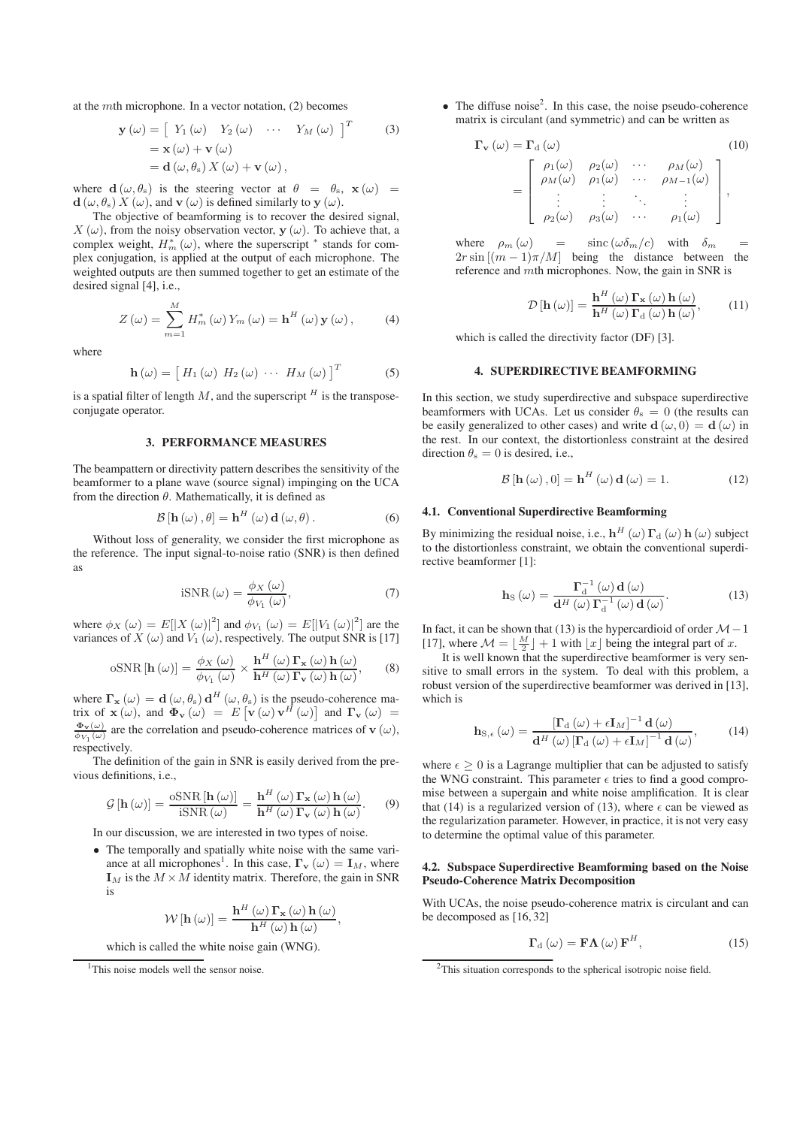at the mth microphone. In a vector notation, (2) becomes

$$
\mathbf{y}(\omega) = \begin{bmatrix} Y_1(\omega) & Y_2(\omega) & \cdots & Y_M(\omega) \end{bmatrix}^T
$$
\n
$$
= \mathbf{x}(\omega) + \mathbf{v}(\omega)
$$
\n
$$
= \mathbf{d}(\omega, \theta_s) X(\omega) + \mathbf{v}(\omega),
$$
\n(3)

where **d**  $(\omega, \theta_s)$  is the steering vector at  $\theta = \theta_s$ ,  $\mathbf{x}(\omega) =$  $\mathbf{d}(\omega, \theta_s) X(\omega)$ , and  $\mathbf{v}(\omega)$  is defined similarly to  $\mathbf{y}(\omega)$ .

The objective of beamforming is to recover the desired signal,  $X(\omega)$ , from the noisy observation vector, **y** ( $\omega$ ). To achieve that, a complex weight,  $H_m^*(\omega)$ , where the superscript  $^*$  stands for complex conjugation, is applied at the output of each microphone. The weighted outputs are then summed together to get an estimate of the desired signal [4], i.e.,

$$
Z(\omega) = \sum_{m=1}^{M} H_m^*(\omega) Y_m(\omega) = \mathbf{h}^H(\omega) \mathbf{y}(\omega), \quad (4)
$$

where

$$
\mathbf{h}\left(\omega\right) = \left[H_1\left(\omega\right) H_2\left(\omega\right) \cdots H_M\left(\omega\right)\right]^T \tag{5}
$$

is a spatial filter of length  $M$ , and the superscript  $^H$  is the transposeconjugate operator.

#### 3. PERFORMANCE MEASURES

The beampattern or directivity pattern describes the sensitivity of the beamformer to a plane wave (source signal) impinging on the UCA from the direction  $\theta$ . Mathematically, it is defined as

$$
\mathcal{B}\left[\mathbf{h}\left(\omega\right),\theta\right]=\mathbf{h}^{H}\left(\omega\right)\mathbf{d}\left(\omega,\theta\right).
$$
 (6)

Without loss of generality, we consider the first microphone as the reference. The input signal-to-noise ratio (SNR) is then defined as

$$
\text{iSNR}(\omega) = \frac{\phi_X(\omega)}{\phi_{V_1}(\omega)},\tag{7}
$$

where  $\phi_X(\omega) = E[|X(\omega)|^2]$  and  $\phi_{V_1}(\omega) = E[|V_1(\omega)|^2]$  are the variances of X ( $\omega$ ) and  $V_1(\omega)$ , respectively. The output SNR is [17]

$$
\text{oSNR}[\mathbf{h}(\omega)] = \frac{\phi_X(\omega)}{\phi_{V_1}(\omega)} \times \frac{\mathbf{h}^H(\omega) \Gamma_\mathbf{x}(\omega) \mathbf{h}(\omega)}{\mathbf{h}^H(\omega) \Gamma_\mathbf{v}(\omega) \mathbf{h}(\omega)},\qquad(8)
$$

where  $\mathbf{\Gamma}_{\mathbf{x}} (\omega) = \mathbf{d} (\omega, \theta_{s}) \mathbf{d}^{H} (\omega, \theta_{s})$  is the pseudo-coherence matrix of  $\mathbf{x}$  (ω), and  $\mathbf{\Phi}_{\mathbf{v}} (\omega) = E [\mathbf{v} (\omega) \mathbf{v}^H (\omega)]$  and  $\mathbf{\Gamma}_{\mathbf{v}} (\omega) =$  $\frac{\Phi_{\mathbf{v}}(\omega)}{\phi_{V_1}(\omega)}$  are the correlation and pseudo-coherence matrices of **v** ( $\omega$ ), respectively.

The definition of the gain in SNR is easily derived from the previous definitions, i.e.,

$$
\mathcal{G}\left[\mathbf{h}\left(\omega\right)\right] = \frac{\text{oSNR}\left[\mathbf{h}\left(\omega\right)\right]}{\text{iSNR}\left(\omega\right)} = \frac{\mathbf{h}^H\left(\omega\right)\Gamma_\mathbf{x}\left(\omega\right)\mathbf{h}\left(\omega\right)}{\mathbf{h}^H\left(\omega\right)\Gamma_\mathbf{v}\left(\omega\right)\mathbf{h}\left(\omega\right)}.\tag{9}
$$

In our discussion, we are interested in two types of noise.

• The temporally and spatially white noise with the same variance at all microphones<sup>1</sup>. In this case,  $\mathbf{\Gamma}_{\mathbf{v}}(\omega) = \mathbf{I}_M$ , where  $\mathbf{I}_M$  is the  $M \times M$  identity matrix. Therefore, the gain in SNR is

$$
\mathcal{W}\left[\mathbf{h}\left(\omega\right)\right] = \frac{\mathbf{h}^{H}\left(\omega\right)\mathbf{\Gamma}_{\mathbf{x}}\left(\omega\right)\mathbf{h}\left(\omega\right)}{\mathbf{h}^{H}\left(\omega\right)\mathbf{h}\left(\omega\right)},
$$

which is called the white noise gain (WNG).

• The diffuse noise<sup>2</sup>. In this case, the noise pseudo-coherence matrix is circulant (and symmetric) and can be written as

$$
\Gamma_{\mathbf{v}}(\omega) = \Gamma_{\mathbf{d}}(\omega)
$$
\n
$$
= \begin{bmatrix}\n\rho_1(\omega) & \rho_2(\omega) & \cdots & \rho_M(\omega) \\
\rho_M(\omega) & \rho_1(\omega) & \cdots & \rho_{M-1}(\omega) \\
\vdots & \vdots & \ddots & \vdots \\
\rho_2(\omega) & \rho_3(\omega) & \cdots & \rho_1(\omega)\n\end{bmatrix},
$$
\n(10)

where  $\rho_m(\omega)$  = sinc  $(\omega \delta_m/c)$  with  $\delta_m$  $2r \sin[(m-1)\pi/M]$  being the distance between the reference and mth microphones. Now, the gain in SNR is

$$
\mathcal{D}\left[\mathbf{h}\left(\omega\right)\right] = \frac{\mathbf{h}^H\left(\omega\right)\Gamma_\mathbf{x}\left(\omega\right)\mathbf{h}\left(\omega\right)}{\mathbf{h}^H\left(\omega\right)\Gamma_\mathrm{d}\left(\omega\right)\mathbf{h}\left(\omega\right)},\tag{11}
$$

which is called the directivity factor (DF) [3].

# 4. SUPERDIRECTIVE BEAMFORMING

In this section, we study superdirective and subspace superdirective beamformers with UCAs. Let us consider  $\theta_s = 0$  (the results can be easily generalized to other cases) and write  $d(\omega, 0) = d(\omega)$  in the rest. In our context, the distortionless constraint at the desired direction  $\theta_s = 0$  is desired, i.e.,

$$
\mathcal{B}\left[\mathbf{h}\left(\omega\right),0\right] = \mathbf{h}^{H}\left(\omega\right)\mathbf{d}\left(\omega\right) = 1.
$$
 (12)

## 4.1. Conventional Superdirective Beamforming

By minimizing the residual noise, i.e.,  $\mathbf{h}^H(\omega) \mathbf{\Gamma}_d(\omega) \mathbf{h}(\omega)$  subject to the distortionless constraint, we obtain the conventional superdirective beamformer [1]:

$$
\mathbf{h}_{\mathrm{S}}\left(\omega\right) = \frac{\Gamma_{\mathrm{d}}^{-1}\left(\omega\right)\mathbf{d}\left(\omega\right)}{\mathbf{d}^{H}\left(\omega\right)\Gamma_{\mathrm{d}}^{-1}\left(\omega\right)\mathbf{d}\left(\omega\right)}.\tag{13}
$$

In fact, it can be shown that (13) is the hypercardioid of order  $M-1$ [17], where  $\mathcal{M} = \lfloor \frac{M}{2} \rfloor + 1$  with  $\lfloor x \rfloor$  being the integral part of x.

It is well known that the superdirective beamformer is very sensitive to small errors in the system. To deal with this problem, a robust version of the superdirective beamformer was derived in [13], which is

$$
\mathbf{h}_{\mathrm{S},\epsilon}\left(\omega\right) = \frac{\left[\Gamma_{\mathrm{d}}\left(\omega\right) + \epsilon \mathbf{I}_{M}\right]^{-1} \mathbf{d}\left(\omega\right)}{\mathbf{d}^{H}\left(\omega\right)\left[\Gamma_{\mathrm{d}}\left(\omega\right) + \epsilon \mathbf{I}_{M}\right]^{-1} \mathbf{d}\left(\omega\right)},\tag{14}
$$

where  $\epsilon \geq 0$  is a Lagrange multiplier that can be adjusted to satisfy the WNG constraint. This parameter  $\epsilon$  tries to find a good compromise between a supergain and white noise amplification. It is clear that (14) is a regularized version of (13), where  $\epsilon$  can be viewed as the regularization parameter. However, in practice, it is not very easy to determine the optimal value of this parameter.

## 4.2. Subspace Superdirective Beamforming based on the Noise Pseudo-Coherence Matrix Decomposition

With UCAs, the noise pseudo-coherence matrix is circulant and can be decomposed as [16, 32]

$$
\Gamma_{\rm d}(\omega) = \mathbf{F}\Lambda(\omega)\,\mathbf{F}^H,\tag{15}
$$

<sup>&</sup>lt;sup>1</sup>This noise models well the sensor noise.

 $2$ This situation corresponds to the spherical isotropic noise field.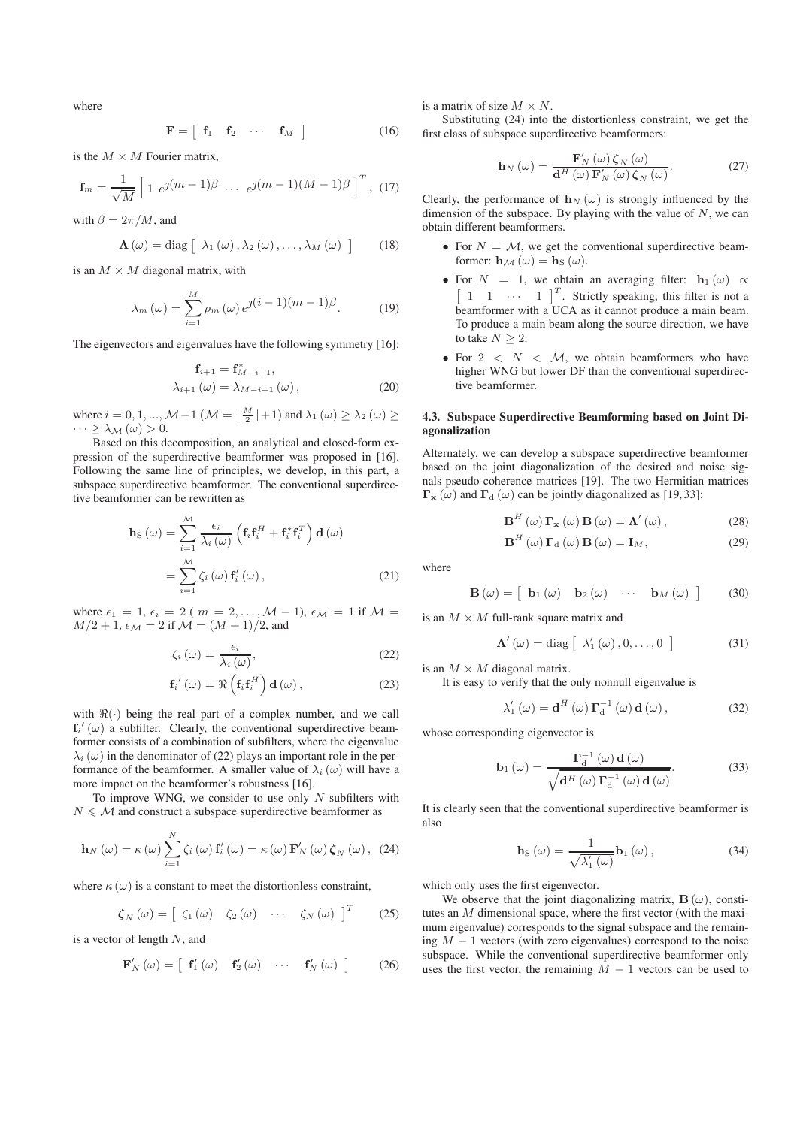where

$$
\mathbf{F} = \left[ \begin{array}{cccc} \mathbf{f}_1 & \mathbf{f}_2 & \cdots & \mathbf{f}_M \end{array} \right] \tag{16}
$$

is the  $M \times M$  Fourier matrix,

$$
\mathbf{f}_m = \frac{1}{\sqrt{M}} \left[ 1 \ e^{j(m-1)\beta} \ \cdots \ e^{j(m-1)(M-1)\beta} \right]^T, \ (17)
$$

with  $\beta = 2\pi/M$ , and

$$
\mathbf{\Lambda}(\omega) = \text{diag}\left[\lambda_1(\omega), \lambda_2(\omega), \ldots, \lambda_M(\omega)\right] \qquad (18)
$$

is an  $M \times M$  diagonal matrix, with

$$
\lambda_m(\omega) = \sum_{i=1}^M \rho_m(\omega) e^{j(i-1)(m-1)\beta}.
$$
 (19)

The eigenvectors and eigenvalues have the following symmetry [16]:

$$
\mathbf{f}_{i+1} = \mathbf{f}_{M-i+1}^{*}, \n\lambda_{i+1}(\omega) = \lambda_{M-i+1}(\omega),
$$
\n(20)

where  $i = 0, 1, ..., M-1$  ( $\mathcal{M} = \lfloor \frac{M}{2} \rfloor + 1$ ) and  $\lambda_1(\omega) \geq \lambda_2(\omega) \geq$  $\cdots \geq \lambda_{\mathcal{M}}(\omega) > 0.$ 

Based on this decomposition, an analytical and closed-form expression of the superdirective beamformer was proposed in [16]. Following the same line of principles, we develop, in this part, a subspace superdirective beamformer. The conventional superdirective beamformer can be rewritten as

$$
\mathbf{h}_{\mathrm{S}}\left(\omega\right) = \sum_{i=1}^{\mathcal{M}} \frac{\epsilon_{i}}{\lambda_{i}\left(\omega\right)} \left(\mathbf{f}_{i}\mathbf{f}_{i}^{H} + \mathbf{f}_{i}^{*}\mathbf{f}_{i}^{T}\right) \mathbf{d}\left(\omega\right)
$$

$$
= \sum_{i=1}^{\mathcal{M}} \zeta_{i}\left(\omega\right) \mathbf{f}_{i}^{'}\left(\omega\right), \tag{21}
$$

where  $\epsilon_1 = 1$ ,  $\epsilon_i = 2$  ( $m = 2,...,M - 1$ ),  $\epsilon_M = 1$  if  $M =$  $M/2 + 1$ ,  $\epsilon_M = 2$  if  $\mathcal{M} = (M + 1)/2$ , and

$$
\zeta_i\left(\omega\right) = \frac{\epsilon_i}{\lambda_i\left(\omega\right)},\tag{22}
$$

$$
\mathbf{f}_{i}'\left(\omega\right) = \Re\left(\mathbf{f}_{i}\mathbf{f}_{i}^{H}\right)\mathbf{d}\left(\omega\right),\tag{23}
$$

with  $\Re(\cdot)$  being the real part of a complex number, and we call  $f_i'(\omega)$  a subfilter. Clearly, the conventional superdirective beamformer consists of a combination of subfilters, where the eigenvalue  $\lambda_i(\omega)$  in the denominator of (22) plays an important role in the performance of the beamformer. A smaller value of  $\lambda_i(\omega)$  will have a more impact on the beamformer's robustness [16].

To improve WNG, we consider to use only  $N$  subfilters with  $N \leq M$  and construct a subspace superdirective beamformer as

$$
\mathbf{h}_{N}\left(\omega\right) = \kappa\left(\omega\right) \sum_{i=1}^{N} \zeta_{i}\left(\omega\right) \mathbf{f}_{i}'\left(\omega\right) = \kappa\left(\omega\right) \mathbf{F}_{N}'\left(\omega\right) \zeta_{N}\left(\omega\right), \tag{24}
$$

where  $\kappa(\omega)$  is a constant to meet the distortionless constraint,

$$
\zeta_{N}\left(\omega\right) = \left[\begin{array}{cccc} \zeta_{1}\left(\omega\right) & \zeta_{2}\left(\omega\right) & \cdots & \zeta_{N}\left(\omega\right) \end{array}\right]^{T} \qquad (25)
$$

is a vector of length  $N$ , and

$$
\mathbf{F}'_{N}(\omega) = \begin{bmatrix} \mathbf{f}'_{1}(\omega) & \mathbf{f}'_{2}(\omega) & \cdots & \mathbf{f}'_{N}(\omega) \end{bmatrix}
$$
 (26)

is a matrix of size  $M \times N$ .

Substituting (24) into the distortionless constraint, we get the first class of subspace superdirective beamformers:

$$
\mathbf{h}_{N}\left(\omega\right) = \frac{\mathbf{F}_{N}'\left(\omega\right)\boldsymbol{\zeta}_{N}\left(\omega\right)}{\mathbf{d}^{H}\left(\omega\right)\mathbf{F}_{N}'\left(\omega\right)\boldsymbol{\zeta}_{N}\left(\omega\right)}.\tag{27}
$$

Clearly, the performance of  $h_N(\omega)$  is strongly influenced by the dimension of the subspace. By playing with the value of  $N$ , we can obtain different beamformers.

- For  $N = M$ , we get the conventional superdirective beamformer:  $\mathbf{h}_{\mathcal{M}}(\omega) = \mathbf{h}_{\mathcal{S}}(\omega)$ .
- For  $N = 1$ , we obtain an averaging filter: **h**<sub>1</sub> ( $\omega$ )  $\propto$  [ 1 1 ··· 1 ]<sup>T</sup>. Strictly speaking, this filter is not a beamformer with a UCA as it cannot produce a main beam. To produce a main beam along the source direction, we have to take  $N \geq 2$ .
- For  $2 < N < M$ , we obtain beamformers who have higher WNG but lower DF than the conventional superdirective beamformer.

# 4.3. Subspace Superdirective Beamforming based on Joint Diagonalization

Alternately, we can develop a subspace superdirective beamformer based on the joint diagonalization of the desired and noise signals pseudo-coherence matrices [19]. The two Hermitian matrices  $\Gamma$ **x** (ω) and  $\Gamma$ <sup>d</sup> (ω) can be jointly diagonalized as [19, 33]:

$$
\mathbf{B}^{H}(\omega) \mathbf{\Gamma}_{\mathbf{x}}(\omega) \mathbf{B}(\omega) = \mathbf{\Lambda}'(\omega), \qquad (28)
$$

$$
\mathbf{B}^{H}(\omega)\,\mathbf{\Gamma}_{\mathrm{d}}\left(\omega\right)\mathbf{B}\left(\omega\right)=\mathbf{I}_{M},\tag{29}
$$

where

$$
\mathbf{B}\left(\omega\right) = \left[\begin{array}{cccc}\mathbf{b}_1\left(\omega\right) & \mathbf{b}_2\left(\omega\right) & \cdots & \mathbf{b}_M\left(\omega\right)\end{array}\right] \tag{30}
$$

is an  $M \times M$  full-rank square matrix and

$$
\Lambda'(\omega) = \text{diag}\left[\lambda'_1(\omega), 0, \dots, 0\right]
$$
 (31)

is an  $M \times M$  diagonal matrix.

It is easy to verify that the only nonnull eigenvalue is

$$
\lambda_{1}'\left(\omega\right) = \mathbf{d}^{H}\left(\omega\right)\mathbf{\Gamma}_{\mathbf{d}}^{-1}\left(\omega\right)\mathbf{d}\left(\omega\right),\tag{32}
$$

whose corresponding eigenvector is

$$
\mathbf{b}_{1}(\omega) = \frac{\Gamma_{d}^{-1}(\omega) \mathbf{d}(\omega)}{\sqrt{\mathbf{d}^{H}(\omega) \Gamma_{d}^{-1}(\omega) \mathbf{d}(\omega)}}.
$$
(33)

It is clearly seen that the conventional superdirective beamformer is also

$$
\mathbf{h}_{\mathrm{S}}\left(\omega\right) = \frac{1}{\sqrt{\lambda_{1}'\left(\omega\right)}}\mathbf{b}_{1}\left(\omega\right),\tag{34}
$$

which only uses the first eigenvector.

We observe that the joint diagonalizing matrix,  $\mathbf{B}(\omega)$ , constitutes an  $M$  dimensional space, where the first vector (with the maximum eigenvalue) corresponds to the signal subspace and the remaining  $M - 1$  vectors (with zero eigenvalues) correspond to the noise subspace. While the conventional superdirective beamformer only uses the first vector, the remaining  $M - 1$  vectors can be used to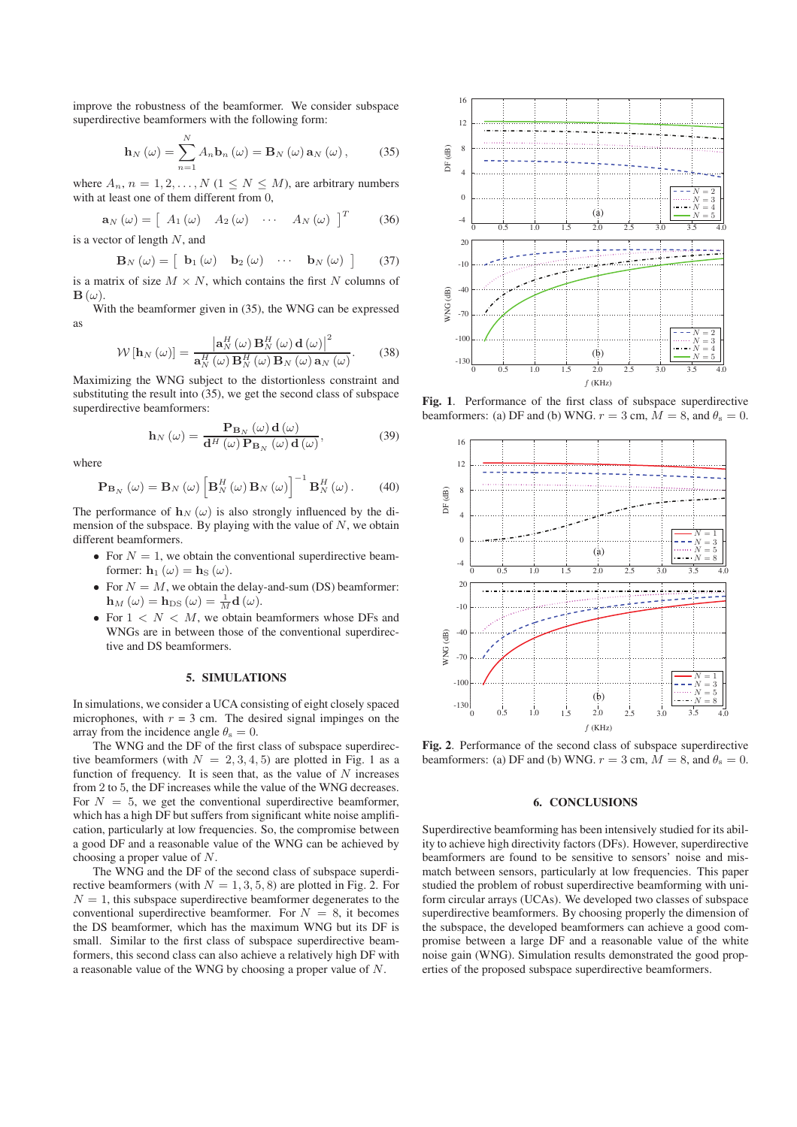improve the robustness of the beamformer. We consider subspace superdirective beamformers with the following form:

$$
\mathbf{h}_{N}\left(\omega\right)=\sum_{n=1}^{N}A_{n}\mathbf{b}_{n}\left(\omega\right)=\mathbf{B}_{N}\left(\omega\right)\mathbf{a}_{N}\left(\omega\right),\qquad(35)
$$

where  $A_n$ ,  $n = 1, 2, ..., N$  ( $1 \le N \le M$ ), are arbitrary numbers with at least one of them different from 0,

$$
\mathbf{a}_{N}\left(\omega\right) = \left[A_{1}\left(\omega\right) \quad A_{2}\left(\omega\right) \quad \cdots \quad A_{N}\left(\omega\right) \right]^{T} \tag{36}
$$

is a vector of length  $N$ , and

$$
\mathbf{B}_{N}\left(\omega\right) = \left[\begin{array}{cccc} \mathbf{b}_{1}\left(\omega\right) & \mathbf{b}_{2}\left(\omega\right) & \cdots & \mathbf{b}_{N}\left(\omega\right) \end{array}\right] \tag{37}
$$

is a matrix of size  $M \times N$ , which contains the first N columns of  $\mathbf{B}(\omega)$ .

With the beamformer given in (35), the WNG can be expressed as

$$
\mathcal{W}\left[\mathbf{h}_{N}\left(\omega\right)\right]=\frac{\left|\mathbf{a}_{N}^{H}\left(\omega\right)\mathbf{B}_{N}^{H}\left(\omega\right)\mathbf{d}\left(\omega\right)\right|^{2}}{\mathbf{a}_{N}^{H}\left(\omega\right)\mathbf{B}_{N}^{H}\left(\omega\right)\mathbf{B}_{N}\left(\omega\right)\mathbf{a}_{N}\left(\omega\right)}.
$$
 (38)

Maximizing the WNG subject to the distortionless constraint and substituting the result into (35), we get the second class of subspace superdirective beamformers:

$$
\mathbf{h}_{N}\left(\omega\right) = \frac{\mathbf{P}_{\mathbf{B}_{N}}\left(\omega\right)\mathbf{d}\left(\omega\right)}{\mathbf{d}^{H}\left(\omega\right)\mathbf{P}_{\mathbf{B}_{N}}\left(\omega\right)\mathbf{d}\left(\omega\right)},\tag{39}
$$

where

$$
\mathbf{P}_{\mathbf{B}_{N}}\left(\omega\right) = \mathbf{B}_{N}\left(\omega\right)\left[\mathbf{B}_{N}^{H}\left(\omega\right)\mathbf{B}_{N}\left(\omega\right)\right]^{-1}\mathbf{B}_{N}^{H}\left(\omega\right). \tag{40}
$$

The performance of  $h_N(\omega)$  is also strongly influenced by the dimension of the subspace. By playing with the value of  $N$ , we obtain different beamformers.

- For  $N = 1$ , we obtain the conventional superdirective beamformer:  $\mathbf{h}_1(\omega) = \mathbf{h}_\text{S}(\omega)$ .
- For  $N = M$ , we obtain the delay-and-sum (DS) beamformer:  $\mathbf{h}_M(\omega) = \mathbf{h}_{\text{DS}}(\omega) = \frac{1}{M}\mathbf{d}(\omega).$
- For  $1 < N < M$ , we obtain beamformers whose DFs and WNGs are in between those of the conventional superdirective and DS beamformers.

## 5. SIMULATIONS

In simulations, we consider a UCA consisting of eight closely spaced microphones, with  $r = 3$  cm. The desired signal impinges on the array from the incidence angle  $\theta_s = 0$ .

The WNG and the DF of the first class of subspace superdirective beamformers (with  $N = 2, 3, 4, 5$ ) are plotted in Fig. 1 as a function of frequency. It is seen that, as the value of  $N$  increases from 2 to 5, the DF increases while the value of the WNG decreases. For  $N = 5$ , we get the conventional superdirective beamformer, which has a high DF but suffers from significant white noise amplification, particularly at low frequencies. So, the compromise between a good DF and a reasonable value of the WNG can be achieved by choosing a proper value of N.

The WNG and the DF of the second class of subspace superdirective beamformers (with  $N = 1, 3, 5, 8$ ) are plotted in Fig. 2. For  $N = 1$ , this subspace superdirective beamformer degenerates to the conventional superdirective beamformer. For  $N = 8$ , it becomes the DS beamformer, which has the maximum WNG but its DF is small. Similar to the first class of subspace superdirective beamformers, this second class can also achieve a relatively high DF with a reasonable value of the WNG by choosing a proper value of N.



Fig. 1. Performance of the first class of subspace superdirective beamformers: (a) DF and (b) WNG.  $r = 3$  cm,  $M = 8$ , and  $\theta_s = 0$ .



Fig. 2. Performance of the second class of subspace superdirective beamformers: (a) DF and (b) WNG.  $r = 3$  cm,  $M = 8$ , and  $\theta_s = 0$ .

# 6. CONCLUSIONS

Superdirective beamforming has been intensively studied for its ability to achieve high directivity factors (DFs). However, superdirective beamformers are found to be sensitive to sensors' noise and mismatch between sensors, particularly at low frequencies. This paper studied the problem of robust superdirective beamforming with uniform circular arrays (UCAs). We developed two classes of subspace superdirective beamformers. By choosing properly the dimension of the subspace, the developed beamformers can achieve a good compromise between a large DF and a reasonable value of the white noise gain (WNG). Simulation results demonstrated the good properties of the proposed subspace superdirective beamformers.